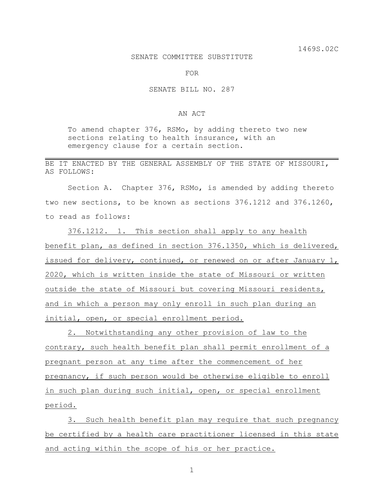## SENATE COMMITTEE SUBSTITUTE

FOR

## SENATE BILL NO. 287

## AN ACT

To amend chapter 376, RSMo, by adding thereto two new sections relating to health insurance, with an emergency clause for a certain section.

BE IT ENACTED BY THE GENERAL ASSEMBLY OF THE STATE OF MISSOURI, AS FOLLOWS:

Section A. Chapter 376, RSMo, is amended by adding thereto two new sections, to be known as sections 376.1212 and 376.1260, to read as follows:

376.1212. 1. This section shall apply to any health benefit plan, as defined in section 376.1350, which is delivered, issued for delivery, continued, or renewed on or after January 1, 2020, which is written inside the state of Missouri or written outside the state of Missouri but covering Missouri residents, and in which a person may only enroll in such plan during an initial, open, or special enrollment period.

2. Notwithstanding any other provision of law to the contrary, such health benefit plan shall permit enrollment of a pregnant person at any time after the commencement of her pregnancy, if such person would be otherwise eligible to enroll in such plan during such initial, open, or special enrollment period.

3. Such health benefit plan may require that such pregnancy be certified by a health care practitioner licensed in this state and acting within the scope of his or her practice.

1